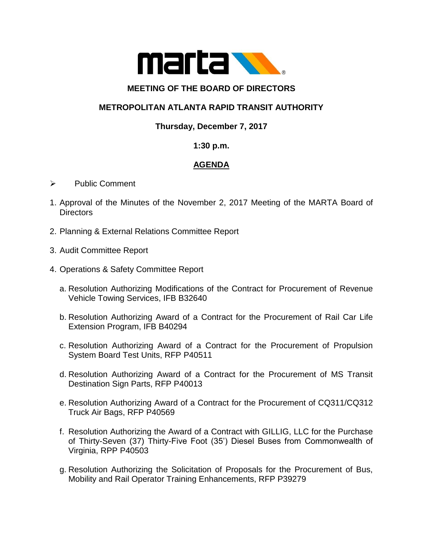

### **MEETING OF THE BOARD OF DIRECTORS**

# **METROPOLITAN ATLANTA RAPID TRANSIT AUTHORITY**

### **Thursday, December 7, 2017**

#### **1:30 p.m.**

## **AGENDA**

- $\triangleright$  Public Comment
- 1. Approval of the Minutes of the November 2, 2017 Meeting of the MARTA Board of Directors
- 2. Planning & External Relations Committee Report
- 3. Audit Committee Report
- 4. Operations & Safety Committee Report
	- a. Resolution Authorizing Modifications of the Contract for Procurement of Revenue Vehicle Towing Services, IFB B32640
	- b. Resolution Authorizing Award of a Contract for the Procurement of Rail Car Life Extension Program, IFB B40294
	- c. Resolution Authorizing Award of a Contract for the Procurement of Propulsion System Board Test Units, RFP P40511
	- d. Resolution Authorizing Award of a Contract for the Procurement of MS Transit Destination Sign Parts, RFP P40013
	- e. Resolution Authorizing Award of a Contract for the Procurement of CQ311/CQ312 Truck Air Bags, RFP P40569
	- f. Resolution Authorizing the Award of a Contract with GILLIG, LLC for the Purchase of Thirty-Seven (37) Thirty-Five Foot (35') Diesel Buses from Commonwealth of Virginia, RPP P40503
	- g. Resolution Authorizing the Solicitation of Proposals for the Procurement of Bus, Mobility and Rail Operator Training Enhancements, RFP P39279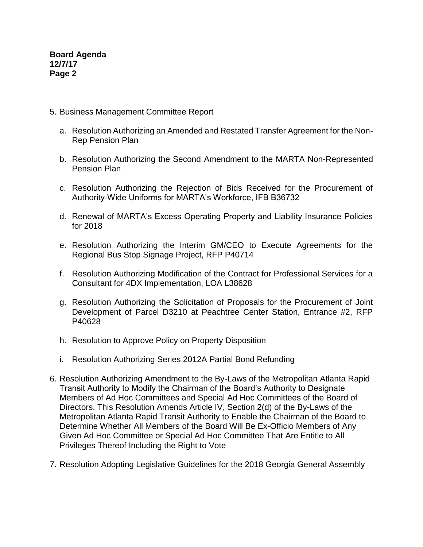**Board Agenda 12/7/17 Page 2**

- 5. Business Management Committee Report
	- a. Resolution Authorizing an Amended and Restated Transfer Agreement for the Non-Rep Pension Plan
	- b. Resolution Authorizing the Second Amendment to the MARTA Non-Represented Pension Plan
	- c. Resolution Authorizing the Rejection of Bids Received for the Procurement of Authority-Wide Uniforms for MARTA's Workforce, IFB B36732
	- d. Renewal of MARTA's Excess Operating Property and Liability Insurance Policies for 2018
	- e. Resolution Authorizing the Interim GM/CEO to Execute Agreements for the Regional Bus Stop Signage Project, RFP P40714
	- f. Resolution Authorizing Modification of the Contract for Professional Services for a Consultant for 4DX Implementation, LOA L38628
	- g. Resolution Authorizing the Solicitation of Proposals for the Procurement of Joint Development of Parcel D3210 at Peachtree Center Station, Entrance #2, RFP P40628
	- h. Resolution to Approve Policy on Property Disposition
	- i. Resolution Authorizing Series 2012A Partial Bond Refunding
- 6. Resolution Authorizing Amendment to the By-Laws of the Metropolitan Atlanta Rapid Transit Authority to Modify the Chairman of the Board's Authority to Designate Members of Ad Hoc Committees and Special Ad Hoc Committees of the Board of Directors. This Resolution Amends Article IV, Section 2(d) of the By-Laws of the Metropolitan Atlanta Rapid Transit Authority to Enable the Chairman of the Board to Determine Whether All Members of the Board Will Be Ex-Officio Members of Any Given Ad Hoc Committee or Special Ad Hoc Committee That Are Entitle to All Privileges Thereof Including the Right to Vote
- 7. Resolution Adopting Legislative Guidelines for the 2018 Georgia General Assembly